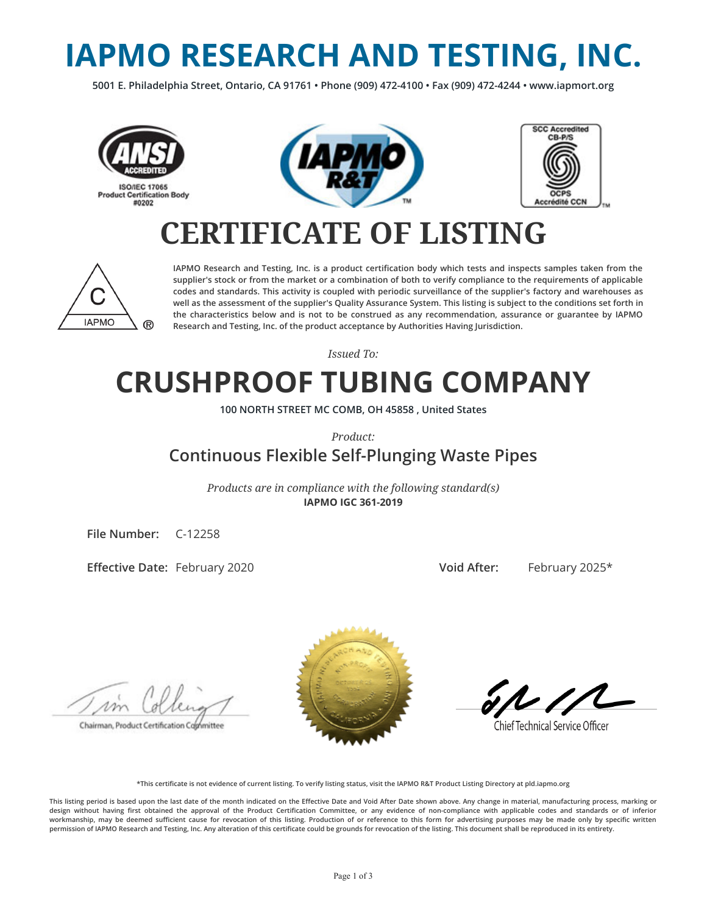# **IAPMO RESEARCH AND TESTING, INC.**

**5001 E. Philadelphia Street, Ontario, CA 91761 • Phone (909) 472-4100 • Fax (909) 472-4244 • www.iapmort.org**







## **CERTIFICATE OF LISTING**



**IAPMO Research and Testing, Inc. is a product certication body which tests and inspects samples taken from the supplier's stock or from the market or a combination of both to verify compliance to the requirements of applicable codes and standards. This activity is coupled with periodic surveillance of the supplier's factory and warehouses as well as the assessment of the supplier's Quality Assurance System. This listing is subject to the conditions set forth in the characteristics below and is not to be construed as any recommendation, assurance or guarantee by IAPMO Research and Testing, Inc. of the product acceptance by Authorities Having Jurisdiction.**

*Issued To:*

## **CRUSHPROOF TUBING COMPANY**

**100 NORTH STREET MC COMB, OH 45858 , United States**

*Product:*

#### **Continuous Flexible Self-Plunging Waste Pipes**

*Products are in compliance with the following standard(s)* **IAPMO IGC 361-2019**

**File Number:** C-12258

**Effective Date: February 2020** 

**Void After:** February 2025\*

Chairman, Product Certification Cophmittee



**Chief Technical Service Officer** 

**\*This certicate is not evidence of current listing. To verify listing status, visit the IAPMO R&T Product Listing Directory at pld.iapmo.org**

This listing period is based upon the last date of the month indicated on the Effective Date and Void After Date shown above. Any change in material, manufacturing process, marking or design without having first obtained the approval of the Product Certification Committee, or any evidence of non-compliance with applicable codes and standards or of inferior workmanship, may be deemed sufficient cause for revocation of this listing. Production of or reference to this form for advertising purposes may be made only by specific written **permission of IAPMO Research and Testing, Inc. Any alteration of this certicate could be grounds for revocation of the listing. This document shall be reproduced in its entirety.**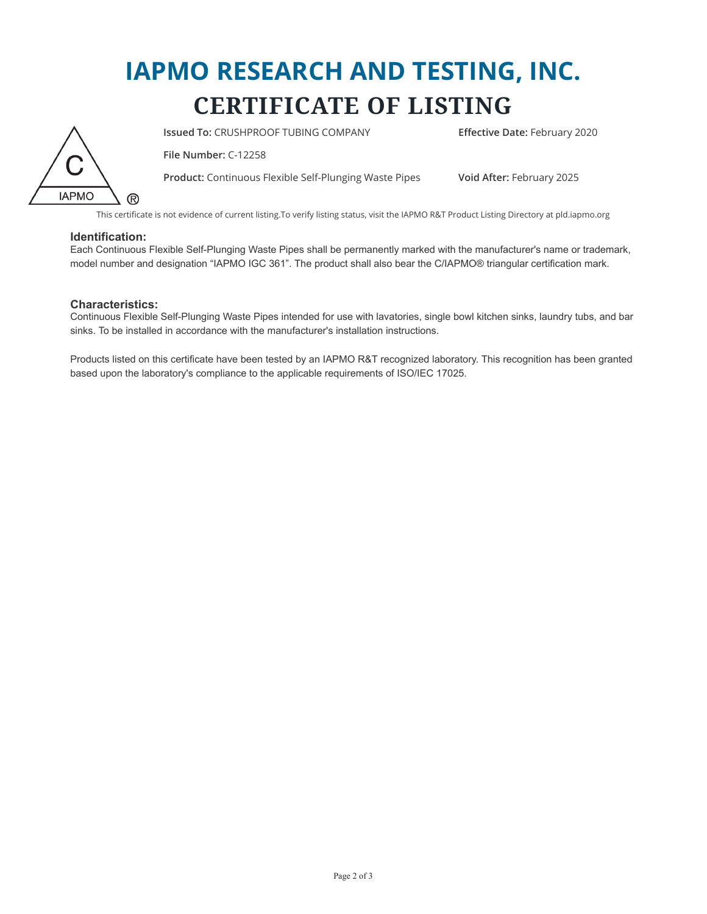## **IAPMO RESEARCH AND TESTING, INC. CERTIFICATE OF LISTING**



**Issued To: CRUSHPROOF TUBING COMPANY <b>Effective Date:** February 2020

**File Number:** C-12258

**Product:** Continuous Flexible Self-Plunging Waste Pipes **Void After:** February 2025

This certificate is not evidence of current listing.To verify listing status, visit the IAPMO R&T Product Listing Directory at pld.iapmo.org

#### **Identification:**

Each Continuous Flexible Self-Plunging Waste Pipes shall be permanently marked with the manufacturer's name or trademark, model number and designation "IAPMO IGC 361". The product shall also bear the C/IAPMO® triangular certification mark.

#### **Characteristics:**

Continuous Flexible Self-Plunging Waste Pipes intended for use with lavatories, single bowl kitchen sinks, laundry tubs, and bar sinks. To be installed in accordance with the manufacturer's installation instructions.

Products listed on this certificate have been tested by an IAPMO R&T recognized laboratory. This recognition has been granted based upon the laboratory's compliance to the applicable requirements of ISO/IEC 17025.